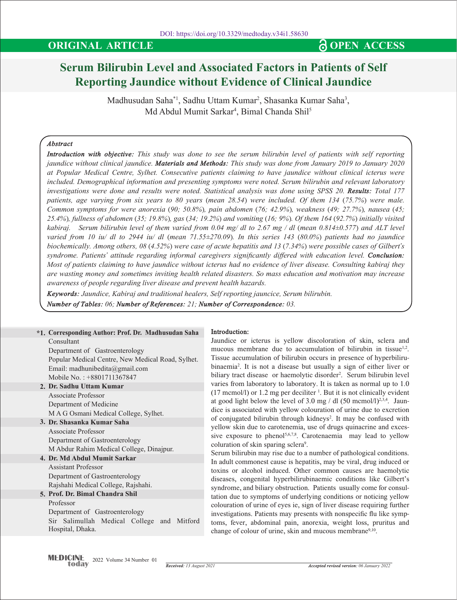# **Serum Bilirubin Level and Associated Factors in Patients of Self Reporting Jaundice without Evidence of Clinical Jaundice**

Madhusudan Saha $^*$ l, Sadhu Uttam Kumar<sup>2</sup>, Shasanka Kumar Saha<sup>3</sup>, Md Abdul Mumit Sarkar<sup>4</sup>, Bimal Chanda Shil<sup>5</sup>

# *Abstract*

*Introduction with objective: This study was done to see the serum bilirubin level of patients with self reporting jaundice without clinical jaundice. Materials and Methods: This study was done from January 2019 to January 2020 at Popular Medical Centre, Sylhet. Consecutive patients claiming to have jaundice without clinical icterus were included. Demographical information and presenting symptoms were noted. Serum bilirubin and relevant laboratory investigations were done and results were noted. Statistical analysis was done using SPSS 20. Results: Total 177 patients, age varying from six years to 80 years (mean 28.54) were included. Of them 134 (75.7%) were male. Common symptoms for were anorexia (90; 50.8%), pain abdomen (76; 42.9%), weakness (49; 27.7%), nausea (45; 25.4%), fullness of abdomen (35; 19.8%), gas (34; 19.2%) and vomiting (16; 9%). Of them 164 (92.7%) initially visited kabiraj. Serum bilirubin level of them varied from 0.04 mg/ dl to 2.67 mg / dl (mean 0.814±0.577) and ALT level varied from 10 iu/ dl to 2944 iu/ dl (mean 71.55±270.09). In this series 143 (80.0%) patients had no jaundice biochemically. Among others, 08 (4.52%) were case of acute hepatitis and 13 (7.34%) were possible cases of Gilbert's syndrome. Patients' attitude regarding informal caregivers significantly differed with education level. Conclusion: Most of patients claiming to have jaundice without icterus had no evidence of liver disease. Consulting kabiraj they are wasting money and sometimes inviting health related disasters. So mass education and motivation may increase awareness of people regarding liver disease and prevent health hazards.*

*Keywords: Jaundice, Kabiraj and traditional healers, Self reporting jauncice, Serum bilirubin. Number of Tables: 06; Number of References: 21; Number of Correspondence: 03.*

| *1. Corresponding Author: Prof. Dr. Madhusudan Saha | 1n |
|-----------------------------------------------------|----|
| Consultant                                          | Ja |
| Department of Gastroenterology                      | m  |
| Popular Medical Centre, New Medical Road, Sylhet.   | Ti |
| Email: madhunibedita@gmail.com                      |    |
| Mobile No.: +8801711367847                          |    |
| 2. Dr. Sadhu Uttam Kumar                            |    |
| Associate Professor                                 |    |
| Department of Medicine                              |    |
| M A G Osmani Medical College, Sylhet.               |    |
| 3. Dr. Shasanka Kumar Saha                          |    |
| Associate Professor                                 |    |
| Department of Gastroenterology                      |    |
| M Abdur Rahim Medical College, Dinajpur.            |    |
| 4. Dr. Md Abdul Mumit Sarkar                        |    |
| <b>Assistant Professor</b>                          |    |
| Department of Gastroenterology                      |    |
| Rajshahi Medical College, Rajshahi.                 |    |
| 5. Prof. Dr. Bimal Chandra Shil                     |    |
| Professor                                           |    |
| Department of Gastroenterology                      |    |
| Sir Salimullah Medical College and Mitford          |    |
| Hospital, Dhaka.                                    |    |
|                                                     |    |
|                                                     |    |

## **Introduction:**

undice or icterus is yellow discoloration of skin, sclera and ucous membrane due to accumulation of bilirubin in tissue<sup>1,2</sup>. ssue accumulation of bilirubin occurs in presence of hyperbilirubinaemia2 . It is not a disease but usually a sign of either liver or biliary tract disease or haemolytic disorder<sup>2</sup>. Serum bilirubin level ries from laboratory to laboratory. It is taken as normal up to 1.0  $(17 \text{ memol/l})$  or 1.2 mg per deciliter <sup>1</sup>. But it is not clinically evident good light below the level of 3.0 mg / dl  $(50 \text{ memol/l})^{2,3,4}$ . Jaunce is associated with yellow colouration of urine due to excretion of conjugated bilirubin through kidneys<sup>2</sup>. It may be confused with llow skin due to carotenemia, use of drugs quinacrine and exces- $\alpha$  exposure to phenol<sup>5,6,7,8</sup>. Carotenaemia may lead to yellow coluration of skin sparing sclera<sup>9</sup>.

rum bilirubin may rise due to a number of pathological conditions. adult commonest cause is hepatitis, may be viral, drug induced or xins or alcohol induced. Other common causes are haemolytic seases, congenital hyperbilirubinaemic conditions like Gilbert's ndrome, and biliary obstruction. Patients usually come for consultion due to symptoms of underlying conditions or noticing yellow louration of urine of eyes ie, sign of liver disease requiring further vestigations. Patients may presents with nonspecific flu like sympms, fever, abdominal pain, anorexia, weight loss, pruritus and ange of colour of urine, skin and mucous membrane<sup>9,10</sup>.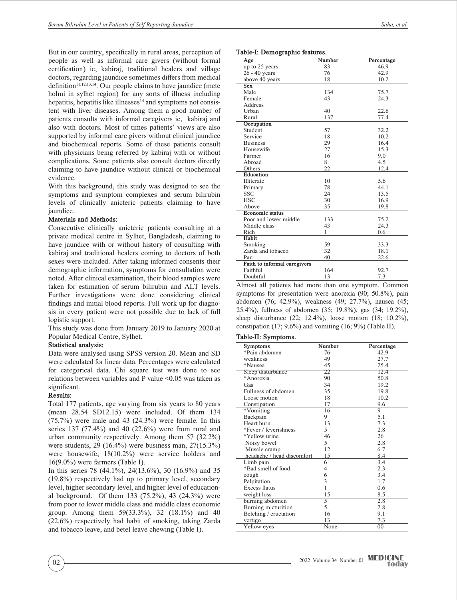But in our country, specifically in rural areas, perception of people as well as informal care givers (without formal certification) ie, kabiraj, traditional healers and village doctors, regarding jaundice sometimes differs from medical definition $11,12,13,14$ . Our people claims to have jaundice (mete holmi in sylhet region) for any sorts of illness including hepatitis, hepatitis like illnesses $14$  and symptoms not consistent with liver diseases. Among them a good number of patients consults with informal caregivers ie, kabiraj and also with doctors. Most of times patients' views are also supported by informal care givers without clinical jaundice and biochemical reports. Some of these patients consult with physicians being referred by kabiraj with or without complications. Some patients also consult doctors directly claiming to have jaundice without clinical or biochemical evidence.

With this background, this study was designed to see the symptoms and symptom complexes and serum bilirubin levels of clinically anicteric patients claiming to have jaundice.

#### **Materials and Methods:**

Consecutive clinically anicteric patients consulting at a private medical centre in Sylhet, Bangladesh, claiming to have jaundice with or without history of consulting with kabiraj and traditional healers coming to doctors of both sexes were included. After taking informed consents their demographic information, symptoms for consultation were noted. After clinical examination, their blood samples were taken for estimation of serum bilirubin and ALT levels. Further investigations were done considering clinical findings and initial blood reports. Full work up for diagnosis in every patient were not possible due to lack of full logistic support.

This study was done from January 2019 to January 2020 at Popular Medical Centre, Sylhet.

#### **Statistical analysis:**

Data were analysed using SPSS version 20. Mean and SD were calculated for linear data. Percentages were calculated for categorical data. Chi square test was done to see relations between variables and P value <0.05 was taken as significant.

#### **Results:**

Total 177 patients, age varying from six years to 80 years (mean 28.54 SD12.15) were included. Of them 134 (75.7%) were male and 43 (24.3%) were female. In this series 137 (77.4%) and 40 (22.6%) were from rural and urban community respectively. Among them 57 (32.2%) were students, 29 (16.4%) were business man, 27(15.3%) were housewife, 18(10.2%) were service holders and 16(9.0%) were farmers (Table I).

In this series 78 (44.1%), 24(13.6%), 30 (16.9%) and 35 (19.8%) respectively had up to primary level, secondary level, higher secondary level, and higher level of educational background. Of them 133 (75.2%), 43 (24.3%) were from poor to lower middle class and middle class economic group. Among them 59(33.3%), 32 (18.1%) and 40 (22.6%) respectively had habit of smoking, taking Zarda and tobacco leave, and betel leave chewing (Table I).

#### **Table-I: Demographic features.**

| Age                          | Number | Percentage |
|------------------------------|--------|------------|
| up to 25 years               | 83     | 46.9       |
| $26 - 40$ years              | 76     | 42.9       |
| above 40 years               | 18     | 10.2       |
| Sex                          |        |            |
| Male                         | 134    | 75.7       |
| Female                       | 43     | 24.3       |
| Address                      |        |            |
| Urban                        | 40     | 22.6       |
| Rural                        | 137    | 77.4       |
| Occupation                   |        |            |
| Student                      | 57     | 32.2       |
| Service                      | 18     | 10.2       |
| <b>Business</b>              | 29     | 16.4       |
| Housewife                    | 27     | 15.3       |
| Farmer                       | 16     | 9.0        |
| Abroad                       | 8      | 4.5        |
| Others                       | 22     | 12.4       |
| Education                    |        |            |
| <b>Illiterate</b>            | 10     | 5.6        |
| Primary                      | 78     | 44.1       |
| <b>SSC</b>                   | 24     | 13.5       |
| <b>HSC</b>                   | 30     | 16.9       |
| Above                        | 35     | 19.8       |
| Economic status              |        |            |
| Poor and lower middle        | 133    | 75.2       |
| Middle class                 | 43     | 24.3       |
| Rich                         | 1      | 0.6        |
| Habit                        |        |            |
| Smoking                      | 59     | 33.3       |
| Zarda and tobacco            | 32     | 18.1       |
| Pan                          | 40     | 22.6       |
| Faith to informal caregivers |        |            |
| Faithful                     | 164    | 92.7       |
| Doubtful                     | 13     | 7.3        |

Almost all patients had more than one symptom. Common symptoms for presentation were anorexia (90; 50.8%), pain abdomen (76; 42.9%), weakness (49; 27.7%), nausea (45; 25.4%), fullness of abdomen (35; 19.8%), gas (34; 19.2%), sleep disturbance (22; 12.4%), loose motion (18; 10.2%), constipation (17; 9.6%) and vomiting (16; 9%) (Table II).

#### **Table-II: Symptoms.**

| Symptoms                   | Number       | Percentage |
|----------------------------|--------------|------------|
| *Pain abdomen              | 76           | 42.9       |
| weakness                   | 49           | 27.7       |
| *Nausea                    | 45           | 25.4       |
| Sleep disturbance          | 22           | 12.4       |
| *Anorexia                  | 90           | 50.8       |
| Gas                        | 34           | 19.2       |
| Fullness of abdomen        | 35           | 19.8       |
| Loose motion               | 18           | 10.2       |
| Constipation               | 17           | 9.6        |
| *Vomiting                  | 16           | 9          |
| Backpain                   | 9            | 5.1        |
| Heart burn                 | 13           | 7.3        |
| *Fever / feverishness      | 5            | 2.8        |
| *Yellow urine              | 46           | 26         |
| Noisy bowel                | 5            | 2.8        |
| Muscle cramp               | 12           | 6.7        |
| headache / head discomfort | 15           | 8.4        |
| Limb pain                  | 6            | 3.4        |
| *Bad smell of food         | 4            | 2.3        |
| cough                      | 6            | 3.4        |
| Palpitation                | 3            | 1.7        |
| Excess flatus              | $\mathbf{1}$ | 0.6        |
| weight loss                | 15           | 8.5        |
| burning abdomen            | 5            | 2.8        |
| Burning micturition        | 5            | 2.8        |
| Belching / eructation      | 16           | 9.1        |
| vertigo                    | 13           | 7.3        |
| Yellow eyes                | None         | 00         |
|                            |              |            |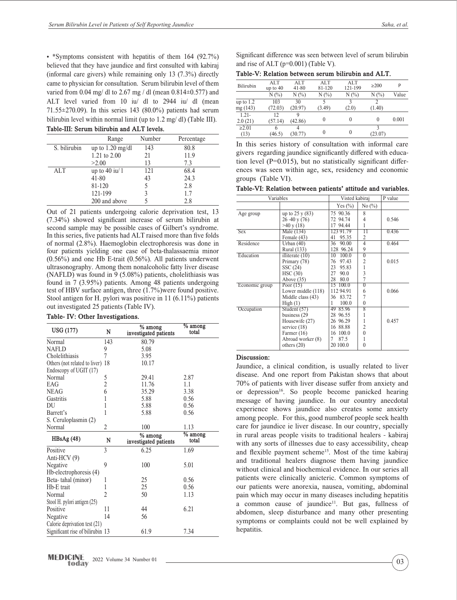• \*Symptoms consistent with hepatitis of them 164 (92.7%) believed that they have jaundice and first consulted with kabiraj (informal care givers) while remaining only 13 (7.3%) directly came to physician for consultation. Serum bilirubin level of them varied from 0.04 mg/ dl to 2.67 mg / dl (mean  $0.814 \pm 0.577$ ) and ALT level varied from 10 iu/ dl to 2944 iu/ dl (mean 71.55±270.09). In this series 143 (80.0%) patients had serum bilirubin level within normal limit (up to 1.2 mg/ dl) (Table III). **Table-III: Serum bilirubin and ALT levels.**

| ravit-III. Strum billiubill allu ALTI Itveis. |                            |        |            |  |  |  |
|-----------------------------------------------|----------------------------|--------|------------|--|--|--|
|                                               | Range                      | Number | Percentage |  |  |  |
| S. bilirubin                                  | up to $1.20 \text{ mg/dl}$ | 143    | 80.8       |  |  |  |
|                                               | 1.21 to 2.00               | 21     | 11.9       |  |  |  |
|                                               | >2.00                      | 13     | 7.3        |  |  |  |
| <b>ALT</b>                                    | up to $40$ iu/ 1           | 121    | 68.4       |  |  |  |
|                                               | $41 - 80$                  | 43     | 24.3       |  |  |  |
|                                               | 81-120                     |        | 2.8        |  |  |  |
|                                               | 121-199                    | 3      | 1.7        |  |  |  |
|                                               | 200 and above              |        | 2.8        |  |  |  |
|                                               |                            |        |            |  |  |  |

Out of 21 patients undergoing calorie deprivation test, 13 (7.34%) showed significant increase of serum bilirubin at second sample may be possible cases of Gilbert's syndrome. In this series, five patients had ALT raised more than five folds of normal (2.8%). Haemoglobin electrophoresis was done in four patients yielding one case of beta-thalassaemia minor (0.56%) and one Hb E-trait (0.56%). All patients underwent ultrasonography. Among them nonalcoholic fatty liver disease (NAFLD) was found in 9 (5.08%) patients, cholelithiasis was found in 7 (3.95%) patients. Among 48 patients undergoing test of HBV surface antigen, three (1.7%)were found positive. Stool antigen for H. pylori was positive in 11 (6.11%) patients out investigated 25 patients (Table IV).

|  |  | Table- IV: Other Investigations. |
|--|--|----------------------------------|
|--|--|----------------------------------|

|                                  |                          | $%$ among                          | $\sqrt[6]{\ }$ among |             | 1100000011101217<br>service $(18)$                                                              |
|----------------------------------|--------------------------|------------------------------------|----------------------|-------------|-------------------------------------------------------------------------------------------------|
| USG (177)                        | N                        | investigated patients              | total                |             | Farmer (16)                                                                                     |
| Normal                           | 143                      | 80.79                              |                      |             | Abroad worker (8)                                                                               |
| <b>NAFLD</b>                     | 9                        | 5.08                               |                      |             | others $(20)$                                                                                   |
| Cholelithiasis                   |                          | 3.95                               |                      | Discussion: |                                                                                                 |
| Others (not related to liver) 18 |                          | 10.17                              |                      |             | Jaundice, a clinical condition, is usually re                                                   |
| Endoscopy of UGIT (17)           |                          |                                    |                      |             |                                                                                                 |
| Normal                           | Ć                        | 29.41                              | 2.87                 |             | disease. And one report from Pakistan sho                                                       |
| EAG                              | 2                        | 11.76                              | 1.1                  |             | 70% of patients with liver disease suffer from                                                  |
| <b>NEAG</b>                      | 6                        | 35.29                              | 3.38                 |             | or depression <sup>16</sup> . So people become pani                                             |
| Gastritis                        |                          | 5.88                               | 0.56                 |             | message of having jaundice. In our cour                                                         |
| DU                               |                          | 5.88                               | 0.56                 |             | experience shows jaundice also creates                                                          |
| Barrett's                        |                          | 5.88                               | 0.56                 |             |                                                                                                 |
| S. Ceruloplasmin (2)             |                          |                                    |                      |             | among people. For this, good number of peop                                                     |
| Normal                           | 2                        | 100                                | 1.13                 |             | care for jaundice ie liver disease. In our cou                                                  |
| HBsAg(48)                        | N                        | $%$ among<br>investigated patients | % among<br>total     |             | in rural areas people visits to traditional he<br>with any sorts of illnesses due to easy acces |
| Positive                         | $\overline{\mathcal{E}}$ | 6.25                               | 1.69                 |             | and flexible payment scheme <sup>15</sup> . Most of the                                         |
| Anti-HCV $(9)$                   |                          |                                    |                      |             |                                                                                                 |
| Negative                         | 9                        | 100                                | 5.01                 |             | and traditional healers diagnose them ha                                                        |
| Hb-electrophoresis (4)           |                          |                                    |                      |             | without clinical and biochemical evidence. In                                                   |
| Beta-tahal (minor)               |                          | 25                                 | 0.56                 |             | patients were clinically anicteric. Common                                                      |
| Hb-E trait                       |                          | 25                                 | 0.56                 |             | our patients were anorexia, nausea, vomitii                                                     |
| Normal                           |                          | 50                                 | 1.13                 |             | pain which may occur in many diseases inclu                                                     |
| Stool H. pylori antigen (25)     |                          |                                    |                      |             | a common cause of jaundice <sup>11</sup> . But gas                                              |
| Positive                         | 11                       | 44                                 | 6.21                 |             |                                                                                                 |
| <b>Negative</b>                  | 14                       | 56                                 |                      |             | abdomen, sleep disturbance and many oth                                                         |
| Calorie deprivation test (21)    |                          |                                    |                      |             | symptoms or complaints could not be well                                                        |
| Significant rise of bilirubin 13 |                          | 61.9                               | 7.34                 | hepatitis.  |                                                                                                 |
|                                  |                          |                                    |                      |             |                                                                                                 |

Significant difference was seen between level of serum bilirubin and rise of ALT (p=0.001) (Table V).

| Table-V: Relation between serum bilirubin and ALT. |  |  |  |
|----------------------------------------------------|--|--|--|
|                                                    |  |  |  |

| Bilirubin   | ALT<br>up to $40$ | ALT<br>41-80 | ALT.<br>81-120 | ALT<br>121-199 | $\geq$ 200 | P     |
|-------------|-------------------|--------------|----------------|----------------|------------|-------|
|             | $N(\%)$           | $N(\%)$      | $N(\%)$        | $N(\%)$        | $N(\%)$    | Value |
| up to $1.2$ | 103               | 30           |                | 3              |            |       |
| mg(143)     | (72.03)           | (20.97)      | (3.49)         | (2.0)          | (1.40)     |       |
| $1.21 -$    | 12                | Q            |                |                |            |       |
| 2.0(21)     | (57.14)           | (42.86)      | $\theta$       | 0              | $\Omega$   | 0.001 |
| $\geq 2.01$ |                   | 4            |                |                |            |       |
| (13)        | (46.5)            | 30.77)       | $\theta$       | $\theta$       | (23.07)    |       |

In this series history of consultation with informal care givers regarding jaundice significantly differed with education level (P=0.015), but no statistically significant differences was seen within age, sex, residency and economic groups (Table VI).

**Table-VI: Relation between patients' attitude and variables.**

| Variables      | Visted kabiraj        |             | P value         |       |
|----------------|-----------------------|-------------|-----------------|-------|
|                |                       | Yes $(\%)$  | No $(\%)$       |       |
| Age group      | up to 25 y (83)       | 75 90.36    | 8               |       |
|                | 26 - 40 y (76)        | 72 94.74    | 4               | 0.546 |
|                | $>40 \text{ y } (18)$ | 17 94.44    | 1               |       |
| <b>Sex</b>     | Male (134)            | 123 91.79   | $\overline{11}$ | 0.436 |
|                | Female (43)           | 41<br>95.35 | 2               |       |
| Residence      | Urban $(40)$          | 90.00<br>36 | $\overline{4}$  | 0.464 |
|                | Rural (133)           | 128 96.24   | 9               |       |
| Education      | illiterate $(10)$     | 10<br>100.0 | $\overline{0}$  |       |
|                | Primary (78)          | 76<br>97.43 | $\overline{c}$  | 0.015 |
|                | SSC (24)              | 23<br>95.83 | 1               |       |
|                | HSC(30)               | 27<br>90.0  | 3               |       |
|                | Above $(35)$          | 28<br>80.0  | $\overline{7}$  |       |
| Economic group | Poor $(15)$           | 15 100.0    | $\overline{0}$  |       |
|                | Lower middle (118)    | 112 94.91   | 6               | 0.066 |
|                | Middle class (43)     | 36 83.72    | 7               |       |
|                | High(1)               | 1<br>100.0  | $\theta$        |       |
| Occupation     | Student (57)          | 49 85.96    | $\overline{8}$  |       |
|                | business (29)         | 28 96.55    | 1               |       |
|                | Housewife (27)        | 26 96.29    | 1               | 0.457 |
|                | service $(18)$        | 16 88.88    | $\overline{c}$  |       |
|                | Farmer $(16)$         | 16 100.0    | $\theta$        |       |
|                | Abroad worker (8)     | 7<br>87.5   | 1               |       |
|                | others $(20)$         | 20 100.0    | $\theta$        |       |

#### **Discussion:**

Jaundice, a clinical condition, is usually related to liver disease. And one report from Pakistan shows that about 70% of patients with liver disease suffer from anxiety and or depression<sup>16</sup>. So people become panicked hearing message of having jaundice. In our country anecdotal experience shows jaundice also creates some anxiety among people. For this, good numberof people seek health care for jaundice ie liver disease. In our country, specially in rural areas people visits to traditional healers - kabiraj with any sorts of illnesses due to easy accessibility, cheap and flexible payment scheme<sup>15</sup>. Most of the time kabiraj and traditional healers diagnose them having jaundice without clinical and biochemical evidence. In our series all patients were clinically anicteric. Common symptoms of our patients were anorexia, nausea, vomiting, abdominal pain which may occur in many diseases including hepatitis a common cause of jaundice<sup>11</sup>. But gas, fullness of abdomen, sleep disturbance and many other presenting symptoms or complaints could not be well explained by hepatitis.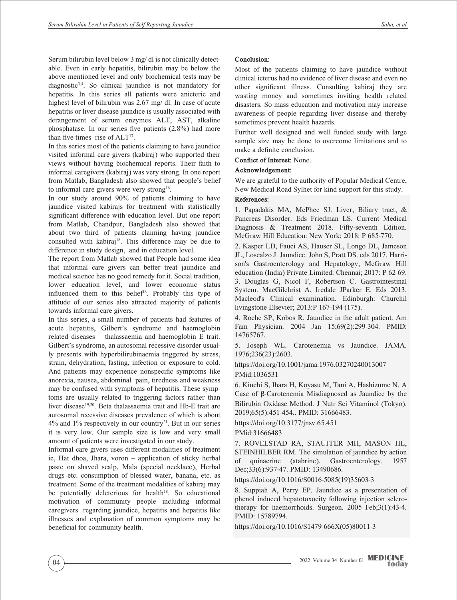Serum bilirubin level below 3 mg/ dl is not clinically detectable. Even in early hepatitis, bilirubin may be below the above mentioned level and only biochemical tests may be diagnostic3,4. So clinical jaundice is not mandatory for hepatitis. In this series all patients were anicteric and highest level of bilirubin was 2.67 mg/ dl. In case of acute hepatitis or liver disease jaundice is usually associated with derangement of serum enzymes ALT, AST, alkaline phosphatase. In our series five patients (2.8%) had more than five times rise of  $ALT<sup>17</sup>$ .

In this series most of the patients claiming to have jaundice visited informal care givers (kabiraj) who supported their views without having biochemical reports. Their faith to informal caregivers (kabiraj) was very strong. In one report from Matlab, Bangladesh also showed that people's belief to informal care givers were very strong<sup>16</sup>.

In our study around 90% of patients claiming to have jaundice visited kabirajs for treatment with statistically significant difference with education level. But one report from Matlab, Chandpur, Bangladesh also showed that about two third of patients claiming having jaundice consulted with kabiraj<sup>18</sup>. This difference may be due to difference in study design, and in education level.

The report from Matlab showed that People had some idea that informal care givers can better treat jaundice and medical science has no good remedy for it. Social tradition, lower education level, and lower economic status influenced them to this belief<sup>18</sup>. Probably this type of attitude of our series also attracted majority of patients towards informal care givers.

In this series, a small number of patients had features of acute hepatitis, Gilbert's syndrome and haemoglobin related diseases – thalassaemia and haemoglobin E trait. Gilbert's syndrome, an autosomal recessive disorder usually presents with hyperbilirubinaemia triggered by stress, strain, dehydration, fasting, infection or exposure to cold. And patients may experience nonspecific symptoms like anorexia, nausea, abdominal pain, tiredness and weakness may be confused with symptoms of hepatitis. These symptoms are usually related to triggering factors rather than liver disease<sup>19,20</sup>. Beta thalassaemia trait and Hb-E trait are autosomal recessive diseases prevalence of which is about  $4\%$  and  $1\%$  respectively in our country<sup>21</sup>. But in our series it is very low. Our sample size is low and very small amount of patients were investigated in our study.

Informal care givers uses different modalities of treatment ie, Hat dhoa, Jhara, voron – application of sticky herbal paste on shaved scalp, Mala (special necklace), Herbal drugs etc. consumption of blessed water, banana, etc. as treatment. Some of the treatment modalities of kabiraj may be potentially deleterious for health<sup>18</sup>. So educational motivation of community people including informal caregivers regarding jaundice, hepatitis and hepatitis like illnesses and explanation of common symptoms may be beneficial for community health.

# **Conclusion:**

Most of the patients claiming to have jaundice without clinical icterus had no evidence of liver disease and even no other significant illness. Consulting kabiraj they are wasting money and sometimes inviting health related disasters. So mass education and motivation may increase awareness of people regarding liver disease and thereby sometimes prevent health hazards.

Further well designed and well funded study with large sample size may be done to overcome limitations and to make a definite conclusion.

**Conflict of Interest:** None.

## **Acknowledgement:**

We are grateful to the authority of Popular Medical Centre, New Medical Road Sylhet for kind support for this study.

## **References:**

1. Papadakis MA, McPhee SJ. Liver, Biliary tract, & Pancreas Disorder. Eds Friedman LS. Current Medical Diagnosis & Treatment 2018. Fifty-seventh Edition. McGraw Hill Education: New York; 2018: P 685-770.

2. Kasper LD, Fauci AS, Hauser SL, Longo DL, Jameson JL, Loscalzo J. Jaundice. John S, Pratt DS. eds 2017. Harrison's Gastroenterology and Hepatology, McGraw Hill education (India) Private Limited: Chennai; 2017: P 62-69. 3. Douglas G, Nicol F, Robertson C. Gastrointestinal System. MacGilchrist A, Iredale JParker E. Eds 2013. Macleod's Clinical examination. Edinburgh: Churchil livingstone Elsevier; 2013:P 167-194 (175).

4. Roche SP, Kobos R. Jaundice in the adult patient. Am Fam Physician. 2004 Jan 15;69(2):299-304. PMID: 14765767.

5. Joseph WL. Carotenemia vs Jaundice. JAMA. 1976;236(23):2603.

https://doi.org/10.1001/jama.1976.03270240013007 PMid:1036531

6. Kiuchi S, Ihara H, Koyasu M, Tani A, Hashizume N. A Case of β-Carotenemia Misdiagnosed as Jaundice by the Bilirubin Oxidase Method. J Nutr Sci Vitaminol (Tokyo). 2019;65(5):451-454.. PMID: 31666483.

https://doi.org/10.3177/jnsv.65.451

PMid:31666483

7. ROVELSTAD RA, STAUFFER MH, MASON HL, STEINHILBER RM. The simulation of jaundice by action of quinacrine (atabrine). Gastroenterology. 1957 Dec;33(6):937-47. PMID: 13490686.

https://doi.org/10.1016/S0016-5085(19)35603-3

8. Suppiah A, Perry EP. Jaundice as a presentation of phenol induced hepatotoxocity following injection sclerotherapy for haemorrhoids. Surgeon. 2005 Feb;3(1):43-4. PMID: 15789794.

https://doi.org/10.1016/S1479-666X(05)80011-3